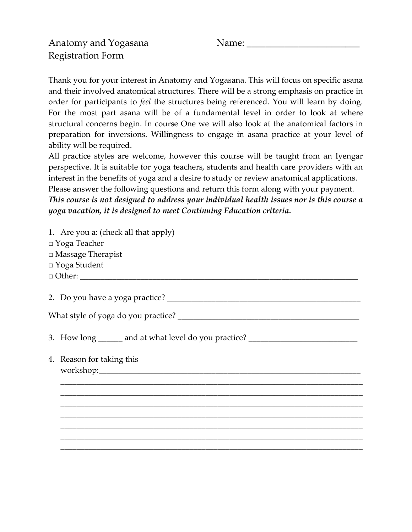Thank you for your interest in Anatomy and Yogasana. This will focus on specific asana and their involved anatomical structures. There will be a strong emphasis on practice in order for participants to feel the structures being referenced. You will learn by doing. For the most part asana will be of a fundamental level in order to look at where structural concerns begin. In course One we will also look at the anatomical factors in preparation for inversions. Willingness to engage in asana practice at your level of ability will be required.

All practice styles are welcome, however this course will be taught from an Iyengar perspective. It is suitable for yoga teachers, students and health care providers with an interest in the benefits of yoga and a desire to study or review anatomical applications. Please answer the following questions and return this form along with your payment.

This course is not designed to address your individual health issues nor is this course a yoga vacation, it is designed to meet Continuing Education criteria.

| 1. Are you a: (check all that apply)<br>$\Box$ Yoga Teacher<br>□ Massage Therapist<br>□ Yoga Student |  |  |
|------------------------------------------------------------------------------------------------------|--|--|
|                                                                                                      |  |  |
|                                                                                                      |  |  |
| 3. How long ______ and at what level do you practice? __________________________                     |  |  |
| 4. Reason for taking this                                                                            |  |  |
|                                                                                                      |  |  |
|                                                                                                      |  |  |
|                                                                                                      |  |  |
|                                                                                                      |  |  |